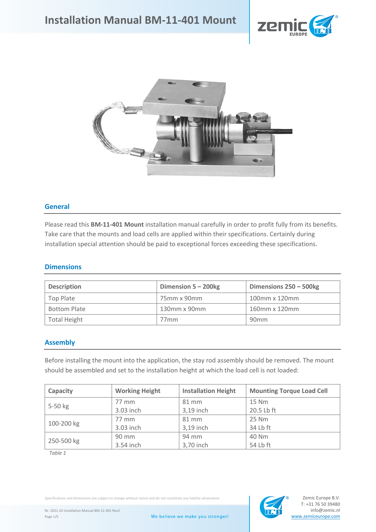



## **General**

Please read this **BM-11-401 Mount** installation manual carefully in order to profit fully from its benefits. Take care that the mounts and load cells are applied within their specifications. Certainly during installation special attention should be paid to exceptional forces exceeding these specifications.

#### **Dimensions**

| <b>Description</b>  | Dimension $5 - 200$ kg | Dimensions 250 - 500kg |
|---------------------|------------------------|------------------------|
| Top Plate           | 75mm x 90mm            | 100mm x 120mm          |
| <b>Bottom Plate</b> | 130mm x 90mm           | 160mm x 120mm          |
| <b>Total Height</b> | 77mm                   | 90 <sub>mm</sub>       |

## **Assembly**

Before installing the mount into the application, the stay rod assembly should be removed. The mount should be assembled and set to the installation height at which the load cell is not loaded:

| Capacity   | <b>Working Height</b> | <b>Installation Height</b> | <b>Mounting Torque Load Cell</b> |  |  |
|------------|-----------------------|----------------------------|----------------------------------|--|--|
| $5-50$ kg  | 77 mm                 | 81 mm                      | 15 Nm                            |  |  |
|            | 3.03 inch             | 3,19 inch                  | 20.5 Lb ft                       |  |  |
| 100-200 kg | 77 mm                 | 81 mm                      | 25 Nm                            |  |  |
|            | 3.03 inch             | 3,19 inch                  | 34 Lb ft                         |  |  |
| 250-500 kg | $90 \text{ mm}$       | 94 mm                      | 40 Nm                            |  |  |
|            | 3.54 inch             | 3,70 inch                  | 54 Lb ft                         |  |  |

*Table 1*

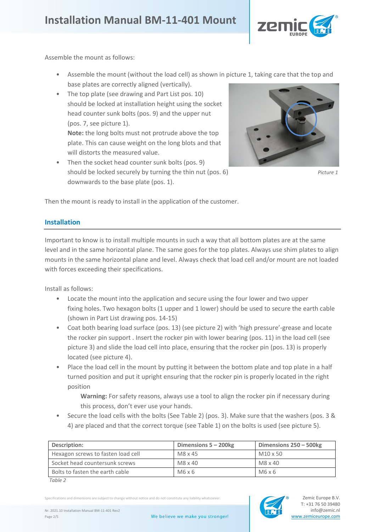

Assemble the mount as follows:

- Assemble the mount (without the load cell) as shown in picture 1, taking care that the top and base plates are correctly aligned (vertically).
- The top plate (see drawing and Part List pos. 10) should be locked at installation height using the socket head counter sunk bolts (pos. 9) and the upper nut (pos. 7, see picture 1). **Note:** the long bolts must not protrude above the top

plate. This can cause weight on the long blots and that will distorts the measured value.

Then the socket head counter sunk bolts (pos. 9) should be locked securely by turning the thin nut (pos. 6) *Picture 1* downwards to the base plate (pos. 1).



Then the mount is ready to install in the application of the customer.

## **Installation**

Important to know is to install multiple mounts in such a way that all bottom plates are at the same level and in the same horizontal plane. The same goes for the top plates. Always use shim plates to align mounts in the same horizontal plane and level. Always check that load cell and/or mount are not loaded with forces exceeding their specifications.

Install as follows:

- Locate the mount into the application and secure using the four lower and two upper fixing holes. Two hexagon bolts (1 upper and 1 lower) should be used to secure the earth cable (shown in Part List drawing pos. 14-15)
- Coat both bearing load surface (pos. 13) (see picture 2) with 'high pressure'-grease and locate the rocker pin support . Insert the rocker pin with lower bearing (pos. 11) in the load cell (see picture 3) and slide the load cell into place, ensuring that the rocker pin (pos. 13) is properly located (see picture 4).
- Place the load cell in the mount by putting it between the bottom plate and top plate in a half turned position and put it upright ensuring that the rocker pin is properly located in the right position

**Warning:** For safety reasons, always use a tool to align the rocker pin if necessary during this process, don't ever use your hands.

• Secure the load cells with the bolts (See Table 2) (pos. 3). Make sure that the washers (pos. 3 & 4) are placed and that the correct torque (see Table 1) on the bolts is used (see picture 5).

| Description:                       | Dimensions $5 - 200$ kg | Dimensions 250 - 500kg |
|------------------------------------|-------------------------|------------------------|
| Hexagon screws to fasten load cell | M8 x 45                 | M10 x 50               |
| Socket head countersunk screws     | M8 x 40                 | $M8 \times 40$         |
| Bolts to fasten the earth cable    | M6x6                    | M6x6                   |

*Table 2*

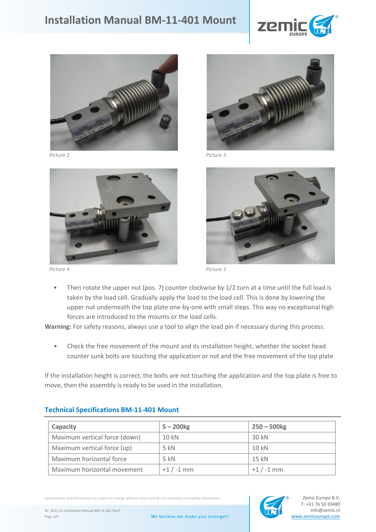





*Picture 2 Picture 3*



*Picture 4 Picture 5*

Then rotate the upper nut (pos. 7) counter clockwise by 1/2 turn at a time until the full load is taken by the load cell. Gradually apply the load to the load cell. This is done by lowering the upper nut underneath the top plate one-by-one with small steps. This way no exceptional high forces are introduced to the mounts or the load cells.

**Warning:** For safety reasons, always use a tool to align the load pin if necessary during this process.

• Check the free movement of the mount and its installation height, whether the socket head counter sunk bolts are touching the application or not and the free movement of the top plate

If the installation height is correct, the bolts are not touching the application and the top plate is free to move, then the assembly is ready to be used in the installation.

| Capacity                      | $5 - 200$ kg | $250 - 500$ kg |
|-------------------------------|--------------|----------------|
| Maximum vertical force (down) | 10 kN        | 30 kN          |
| Maximum vertical force (up)   | $5$ kN       | 10 kN          |
| Maximum horizontal force      | $5$ kN       | 15 kN          |
| Maximum horizontal movement   | $+1/ -1$ mm  | $+1/ -1$ mm    |

## **Technical Specifications BM-11-401 Mount**

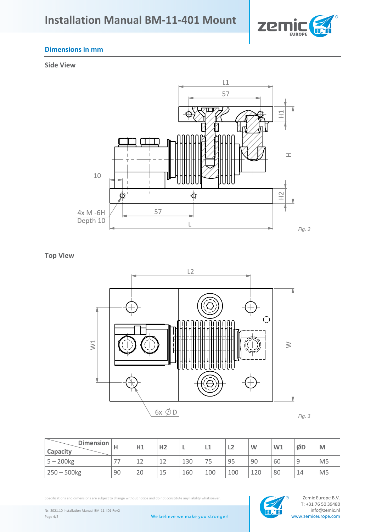

# **Dimensions in mm**

**Side View**



**Top View**



*Fig. 3*

| Dimension  <br><sup>I</sup> Capacity |               | H1       | H <sub>2</sub> | ь   | ᄔ   | ┕   | W   | W1 | ØD     | M              |
|--------------------------------------|---------------|----------|----------------|-----|-----|-----|-----|----|--------|----------------|
| $5 - 200$ kg                         | $\neg$ $\neg$ | 1つ<br>∸∸ | 12             | 130 | 75  | 95  | 90  | 60 | q<br>◡ | M <sub>5</sub> |
| $250 - 500$ kg                       | 90            | 20       | 15             | 160 | 100 | 100 | 120 | 80 | 14     | M <sub>5</sub> |